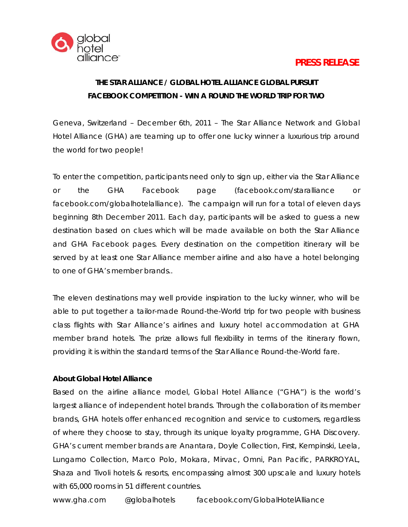

## **PRESS RELEASE**

# **THE STAR ALLIANCE / GLOBAL HOTEL ALLIANCE GLOBAL PURSUIT FACEBOOK COMPETITION - WIN A ROUND THE WORLD TRIP FOR TWO**

Geneva, Switzerland – December 6th, 2011 – The Star Alliance Network and Global Hotel Alliance (GHA) are teaming up to offer one lucky winner a luxurious trip around the world for two people!

To enter the competition, participants need only to sign up, either via the Star Alliance or the GHA Facebook page (facebook.com/staralliance or facebook.com/globalhotelalliance). The campaign will run for a total of eleven days beginning 8th December 2011. Each day, participants will be asked to guess a new destination based on clues which will be made available on both the Star Alliance and GHA Facebook pages. Every destination on the competition itinerary will be served by at least one Star Alliance member airline and also have a hotel belonging to one of GHA's member brands..

The eleven destinations may well provide inspiration to the lucky winner, who will be able to put together a tailor-made Round-the-World trip for two people with business class flights with Star Alliance's airlines and luxury hotel accommodation at GHA member brand hotels. The prize allows full flexibility in terms of the itinerary flown, providing it is within the standard terms of the Star Alliance Round-the-World fare.

### **About Global Hotel Alliance**

Based on the airline alliance model, Global Hotel Alliance ("GHA") is the world's largest alliance of independent hotel brands. Through the collaboration of its member brands, GHA hotels offer enhanced recognition and service to customers, regardless of where they choose to stay, through its unique loyalty programme, GHA Discovery. GHA's current member brands are Anantara, Doyle Collection, First, Kempinski, Leela, Lungarno Collection, Marco Polo, Mokara, Mirvac, Omni, Pan Pacific, PARKROYAL, Shaza and Tivoli hotels & resorts, encompassing almost 300 upscale and luxury hotels with 65,000 rooms in 51 different countries.

[www.gha.com](http://www.gha.com/) @globalhotels facebook.com/GlobalHotelAlliance